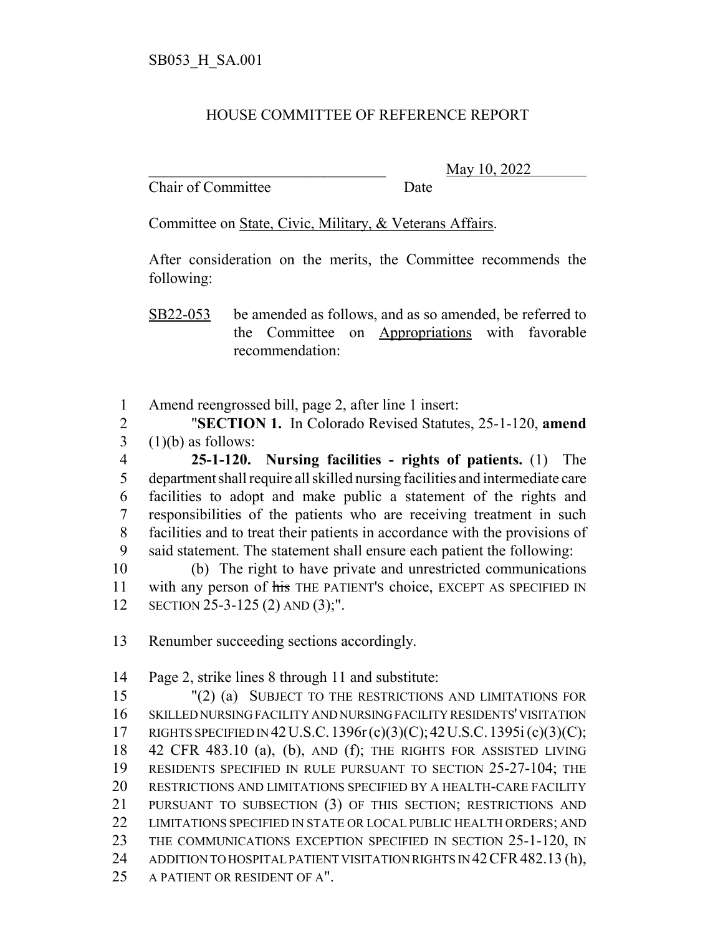## HOUSE COMMITTEE OF REFERENCE REPORT

Chair of Committee Date

\_\_\_\_\_\_\_\_\_\_\_\_\_\_\_\_\_\_\_\_\_\_\_\_\_\_\_\_\_\_\_ May 10, 2022

Committee on State, Civic, Military, & Veterans Affairs.

After consideration on the merits, the Committee recommends the following:

SB22-053 be amended as follows, and as so amended, be referred to the Committee on Appropriations with favorable recommendation:

Amend reengrossed bill, page 2, after line 1 insert:

 "**SECTION 1.** In Colorado Revised Statutes, 25-1-120, **amend** (1)(b) as follows:

 **25-1-120. Nursing facilities - rights of patients.** (1) The department shall require all skilled nursing facilities and intermediate care facilities to adopt and make public a statement of the rights and responsibilities of the patients who are receiving treatment in such facilities and to treat their patients in accordance with the provisions of said statement. The statement shall ensure each patient the following:

 (b) The right to have private and unrestricted communications 11 with any person of his THE PATIENT's choice, EXCEPT AS SPECIFIED IN SECTION 25-3-125 (2) AND (3);".

Renumber succeeding sections accordingly.

Page 2, strike lines 8 through 11 and substitute:

 "(2) (a) SUBJECT TO THE RESTRICTIONS AND LIMITATIONS FOR SKILLED NURSING FACILITY AND NURSING FACILITY RESIDENTS' VISITATION RIGHTS SPECIFIED IN 42U.S.C.1396r(c)(3)(C);42U.S.C.1395i (c)(3)(C); 42 CFR 483.10 (a), (b), AND (f); THE RIGHTS FOR ASSISTED LIVING RESIDENTS SPECIFIED IN RULE PURSUANT TO SECTION 25-27-104; THE RESTRICTIONS AND LIMITATIONS SPECIFIED BY A HEALTH-CARE FACILITY PURSUANT TO SUBSECTION (3) OF THIS SECTION; RESTRICTIONS AND 22 LIMITATIONS SPECIFIED IN STATE OR LOCAL PUBLIC HEALTH ORDERS; AND THE COMMUNICATIONS EXCEPTION SPECIFIED IN SECTION 25-1-120, IN 24 ADDITION TO HOSPITAL PATIENT VISITATION RIGHTS IN 42 CFR 482.13 (h), A PATIENT OR RESIDENT OF A".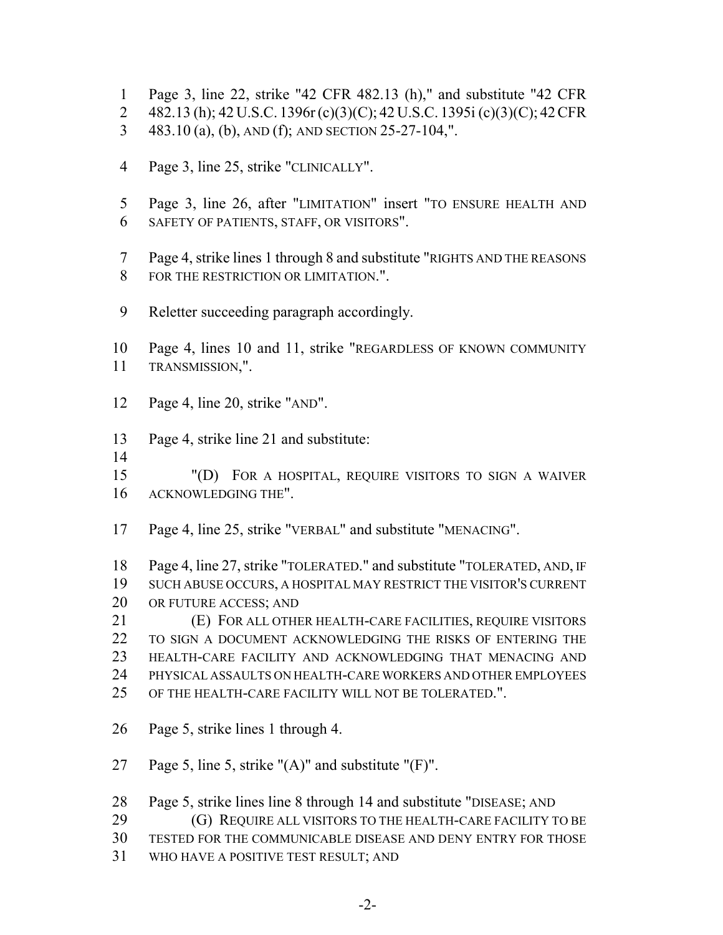- Page 3, line 22, strike "42 CFR 482.13 (h)," and substitute "42 CFR
- 482.13 (h); 42 U.S.C. 1396r(c)(3)(C); 42 U.S.C. 1395i (c)(3)(C); 42CFR
- 483.10 (a), (b), AND (f); AND SECTION 25-27-104,".
- Page 3, line 25, strike "CLINICALLY".
- Page 3, line 26, after "LIMITATION" insert "TO ENSURE HEALTH AND SAFETY OF PATIENTS, STAFF, OR VISITORS".
- Page 4, strike lines 1 through 8 and substitute "RIGHTS AND THE REASONS FOR THE RESTRICTION OR LIMITATION.".
- Reletter succeeding paragraph accordingly.
- Page 4, lines 10 and 11, strike "REGARDLESS OF KNOWN COMMUNITY TRANSMISSION,".
- Page 4, line 20, strike "AND".
- Page 4, strike line 21 and substitute:
- 

 "(D) FOR A HOSPITAL, REQUIRE VISITORS TO SIGN A WAIVER ACKNOWLEDGING THE".

Page 4, line 25, strike "VERBAL" and substitute "MENACING".

 Page 4, line 27, strike "TOLERATED." and substitute "TOLERATED, AND, IF SUCH ABUSE OCCURS, A HOSPITAL MAY RESTRICT THE VISITOR'S CURRENT OR FUTURE ACCESS; AND

 (E) FOR ALL OTHER HEALTH-CARE FACILITIES, REQUIRE VISITORS TO SIGN A DOCUMENT ACKNOWLEDGING THE RISKS OF ENTERING THE HEALTH-CARE FACILITY AND ACKNOWLEDGING THAT MENACING AND PHYSICAL ASSAULTS ON HEALTH-CARE WORKERS AND OTHER EMPLOYEES OF THE HEALTH-CARE FACILITY WILL NOT BE TOLERATED.".

Page 5, strike lines 1 through 4.

27 Page 5, line 5, strike " $(A)$ " and substitute " $(F)$ ".

Page 5, strike lines line 8 through 14 and substitute "DISEASE; AND

- **(G) REQUIRE ALL VISITORS TO THE HEALTH-CARE FACILITY TO BE**
- TESTED FOR THE COMMUNICABLE DISEASE AND DENY ENTRY FOR THOSE
- WHO HAVE A POSITIVE TEST RESULT; AND